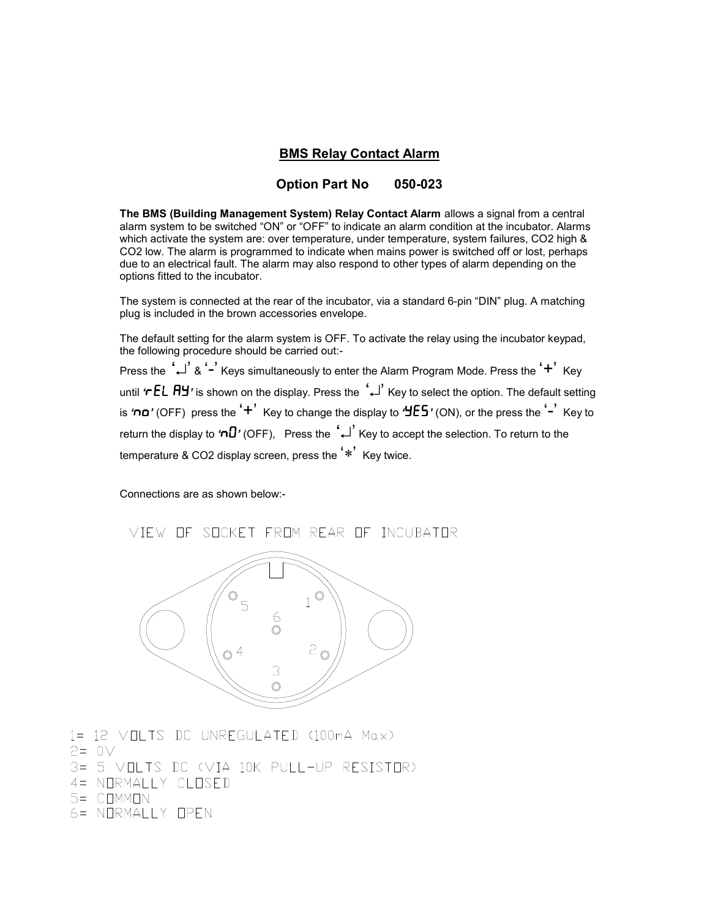## **BMS Relay Contact Alarm**

#### **Option Part No 050-023**

**The BMS (Building Management System) Relay Contact Alarm** allows a signal from a central alarm system to be switched "ON" or "OFF" to indicate an alarm condition at the incubator. Alarms which activate the system are: over temperature, under temperature, system failures, CO2 high & CO2 low. The alarm is programmed to indicate when mains power is switched off or lost, perhaps due to an electrical fault. The alarm may also respond to other types of alarm depending on the options fitted to the incubator.

The system is connected at the rear of the incubator, via a standard 6-pin "DIN" plug. A matching plug is included in the brown accessories envelope.

The default setting for the alarm system is OFF. To activate the relay using the incubator keypad, the following procedure should be carried out:-

Press the '→' & '-' Keys simultaneously to enter the Alarm Program Mode. Press the '+' Key until *'*rEL Ay*'* is shown on the display. Press the ↵ Key to select the option. The default setting is *'*no*'* (OFF) press the '+' Key to change the display to *'*yEs*'* (ON), or the press the '-' Key to return the display to *'*nO*'* (OFF), Press the ↵ Key to accept the selection. To return to the temperature & CO2 display screen, press the '∗' Key twice.

Connections are as shown below:-

VIEW OF SOCKET FROM REAR OF INCUBATOR



- 1= 12 VOLTS DC UNREGULATED (100mA Max)
- $P = 0V$
- 3= 5 VOLTS DC (VIA 10K PULL-UP RESISTOR)
- 4= NORMALLY CLOSED
- 5= COMMON
- 6= NORMALLY OPEN